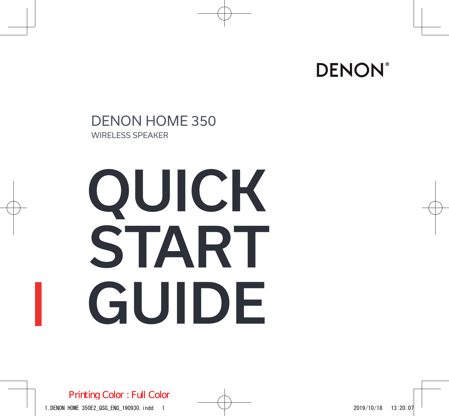

## DENON HOME 350 WIRELESS SPEAKER

# QUICK START GUIDE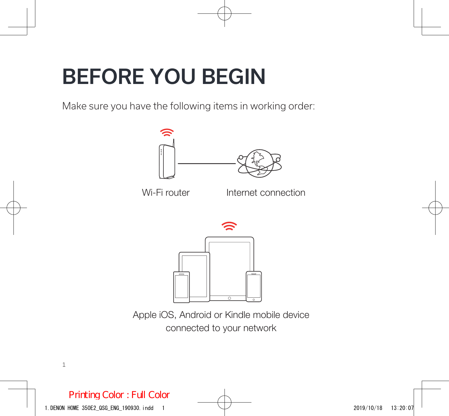# BEFORE YOU BEGIN

Make sure you have the following items in working order:



Apple iOS, Android or Kindle mobile device connected to your network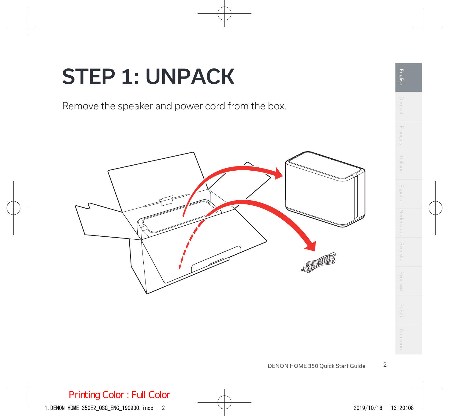# STEP 1: UNPACK

Remove the speaker and power cord from the box.

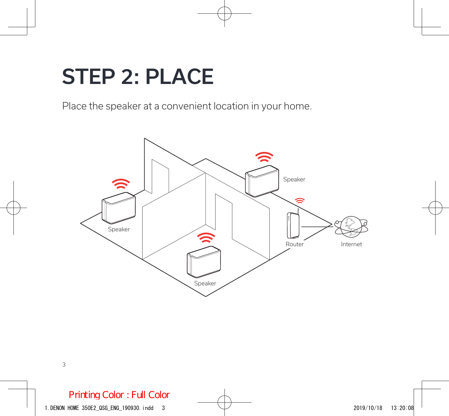# STEP 2: PLACE

Place the speaker at a convenient location in your home.

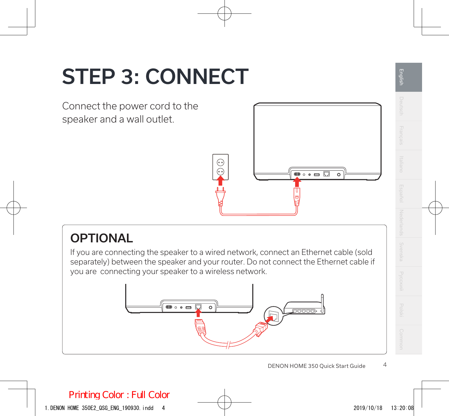# STEP 3: CONNECT

Connect the power cord to the speaker and a wall outlet.



# **OPTIONAL**

If you are connecting the speaker to a wired network, connect an Ethernet cable (sold separately) between the speaker and your router. Do not connect the Ethernet cable if you are connecting your speaker to a wireless network.

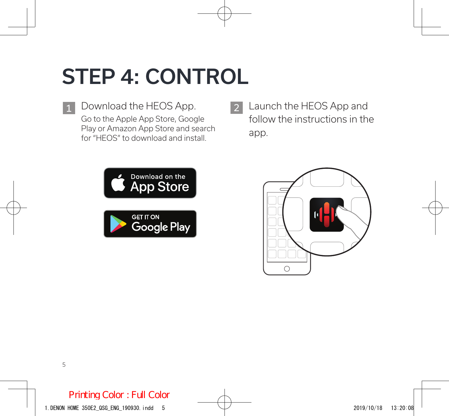# STEP 4: CONTROL

1 Download the HEOS App. 2 Go to the Apple App Store, Google Play or Amazon App Store and search for "HEOS" to download and install.

Launch the HEOS App and follow the instructions in the app.



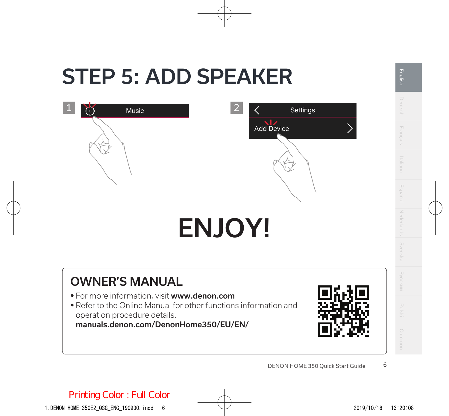# STEP 5: ADD SPEAKER



# ENJOY!

# OWNER'S MANUAL

- For more information, visit www.denon.com
- Refer to the Online Manual for other functions information and operation procedure details.

manuals.denon.com/DenonHome350/EU/EN/



**Franjsh P**olski Français Hangais Halano Español Nederlands Svenska Pycokiri Polski Polski Polski Polski Polski

English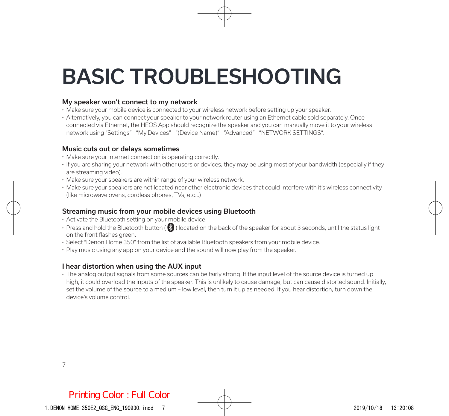# BASIC TROUBLESHOOTING

### My speaker won't connect to my network

- Make sure your mobile device is connected to your wireless network before setting up your speaker.
- Alternatively, you can connect your speaker to your network router using an Ethernet cable sold separately. Once connected via Ethernet, the HEOS App should recognize the speaker and you can manually move it to your wireless network using "Settings" - "My Devices" - "(Device Name)" - "Advanced" - "NETWORK SETTINGS".

#### Music cuts out or delays sometimes

- Make sure your Internet connection is operating correctly.
- If you are sharing your network with other users or devices, they may be using most of your bandwidth (especially if they are streaming video).
- Make sure your speakers are within range of your wireless network.
- Make sure your speakers are not located near other electronic devices that could interfere with it's wireless connectivity (like microwave ovens, cordless phones, TVs, etc…)

### Streaming music from your mobile devices using Bluetooth

- Activate the Bluetooth setting on your mobile device.
- Press and hold the Bluetooth button ( $\bigcirc$ ) located on the back of the speaker for about 3 seconds, until the status light on the front flashes green.
- Select "Denon Home 350" from the list of available Bluetooth speakers from your mobile device.
- Play music using any app on your device and the sound will now play from the speaker.

### I hear distortion when using the AUX input

• The analog output signals from some sources can be fairly strong. If the input level of the source device is turned up high, it could overload the inputs of the speaker. This is unlikely to cause damage, but can cause distorted sound. Initially, set the volume of the source to a medium – low level, then turn it up as needed. If you hear distortion, turn down the device's volume control.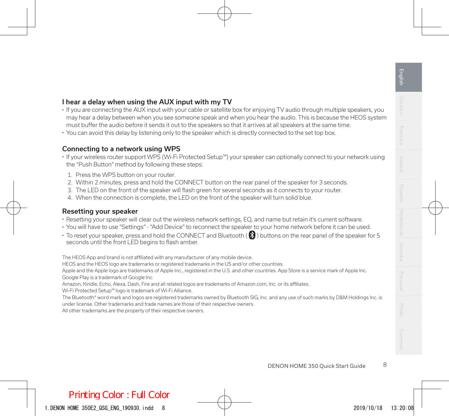### I hear a delay when using the AUX input with my TV

- If you are connecting the AUX input with your cable or satellite box for enjoying TV audio through multiple speakers, you may hear a delay between when you see someone speak and when you hear the audio. This is because the HEOS system must buffer the audio before it sends it out to the speakers so that it arrives at all speakers at the same time.
- You can avoid this delay by listening only to the speaker which is directly connected to the set top box.

### Connecting to a network using WPS

- If your wireless router support WPS (Wi-Fi Protected Setup™) your speaker can optionally connect to your network using the "Push Button" method by following these steps:
	- 1. Press the WPS button on your router.
	- 2. Within 2 minutes, press and hold the CONNECT button on the rear panel of the speaker for 3 seconds.
	- 3. The LED on the front of the speaker will flash green for several seconds as it connects to your router.
	- 4. When the connection is complete, the LED on the front of the speaker will turn solid blue.

### Resetting your speaker

- Resetting your speaker will clear out the wireless network settings, EQ, and name but retain it's current software.
- You will have to use "Settings" "Add Device" to reconnect the speaker to your home network before it can be used.
- To reset your speaker, press and hold the CONNECT and Bluetooth ( $\bigcirc$ ) buttons on the rear panel of the speaker for 5 seconds until the front LED begins to flash amber.

The HEOS App and brand is not affiliated with any manufacturer of any mobile device.

HEOS and the HEOS logo are trademarks or registered trademarks in the US and/or other countries.

Apple and the Apple logo are trademarks of Apple Inc., registered in the U.S. and other countries. App Store is a service mark of Apple Inc. Google Play is a trademark of Google Inc.

Amazon, Kindle, Echo, Alexa, Dash, Fire and all related logos are trademarks of Amazon.com, Inc. or its affiliates.

Wi-Fi Protected Setup™ logo is trademark of Wi-Fi Alliance.

The Bluetooth® word mark and logos are registered trademarks owned by Bluetooth SIG, Inc. and any use of such marks by D&M Holdings Inc. is under license. Other trademarks and trade names are those of their respective owners.

All other trademarks are the property of their respective owners.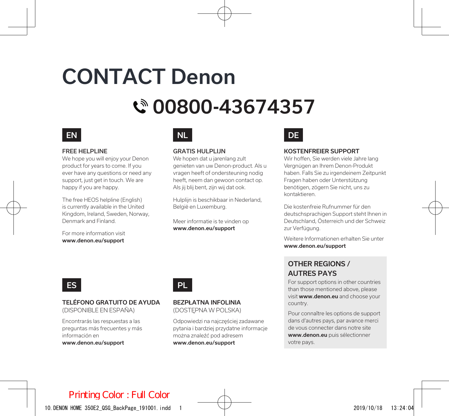# CONTACT Denon € 00800-43674357

### EN

#### FREE HELPLINE

We hope you will enjoy your Denon product for years to come. If you ever have any questions or need any support, just get in touch. We are happy if you are happy.

The free HEOS helpline (English) is currently available in the United Kingdom, Ireland, Sweden, Norway, Denmark and Finland.

For more information visit www.denon.eu/support



#### GRATIS HULPLIJN

We hopen dat u jarenlang zult genieten van uw Denon-product. Als u vragen heeft of ondersteuning nodig heeft, neem dan gewoon contact op. Als jij blij bent, zijn wij dat ook.

Hulplijn is beschikbaar in Nederland, België en Luxemburg.

Meer informatie is te vinden op www.denon.eu/support



#### KOSTENFREIER SUPPORT

Wir hoffen, Sie werden viele Jahre lang Vergnügen an Ihrem Denon-Produkt haben. Falls Sie zu irgendeinem Zeitpunkt Fragen haben oder Unterstützung benötigen, zögern Sie nicht, uns zu kontaktieren.

Die kostenfreie Rufnummer für den deutschsprachigen Support steht Ihnen in Deutschland, Österreich und der Schweiz zur Verfügung.

Weitere Informationen erhalten Sie unter www.denon.eu/support

### OTHER REGIONS / AUTRES PAYS

For support options in other countries than those mentioned above, please visit www.denon.eu and choose your country.

Pour connaître les options de support dans d'autres pays, par avance merci de vous connecter dans notre site www.denon.eu puis sélectionner votre pays.

### ES

#### TELÉFONO GRATUITO DE AYUDA (DISPONIBLE EN ESPAÑA)

Encontrarás las respuestas a las preguntas más frecuentes y más información en www.denon.eu/support



#### BEZPŁATNA INFOLINIA (DOSTĘPNA W POLSKA)

Odpowiedzi na najczęściej zadawane pytania i bardziej przydatne informacje można znaleźć pod adresem www.denon.eu/support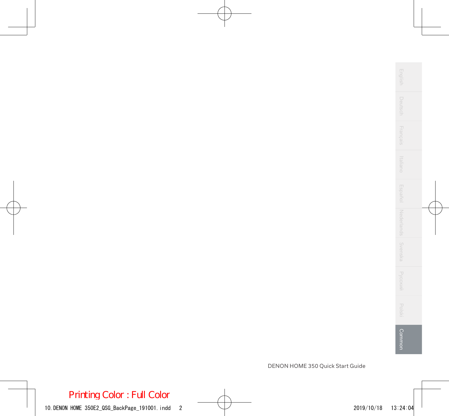| <b>Lindilish</b><br>1 |
|-----------------------|
| <b>LDSTIGO</b>        |
| ĩ<br>۱<br>-rancals    |
| <b>OUBIBITION</b>     |
| <b>LSDanoi</b><br>۱   |
| Nederlands<br>l       |
| <b>SVensk</b><br>ô    |
| ÿ<br><b>VICCK VIV</b> |
| Polski                |
| Common                |